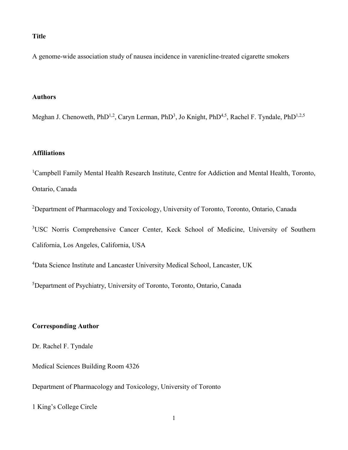#### **Title**

A genome-wide association study of nausea incidence in varenicline-treated cigarette smokers

## **Authors**

Meghan J. Chenoweth, PhD<sup>1,2</sup>, Caryn Lerman, PhD<sup>3</sup>, Jo Knight, PhD<sup>4,5</sup>, Rachel F. Tyndale, PhD<sup>1,2,5</sup>

### **Affiliations**

<sup>1</sup>Campbell Family Mental Health Research Institute, Centre for Addiction and Mental Health, Toronto, Ontario, Canada

<sup>2</sup>Department of Pharmacology and Toxicology, University of Toronto, Toronto, Ontario, Canada

<sup>3</sup>USC Norris Comprehensive Cancer Center, Keck School of Medicine, University of Southern California, Los Angeles, California, USA

<sup>4</sup>Data Science Institute and Lancaster University Medical School, Lancaster, UK

5 Department of Psychiatry, University of Toronto, Toronto, Ontario, Canada

### **Corresponding Author**

Dr. Rachel F. Tyndale

Medical Sciences Building Room 4326

Department of Pharmacology and Toxicology, University of Toronto

1 King's College Circle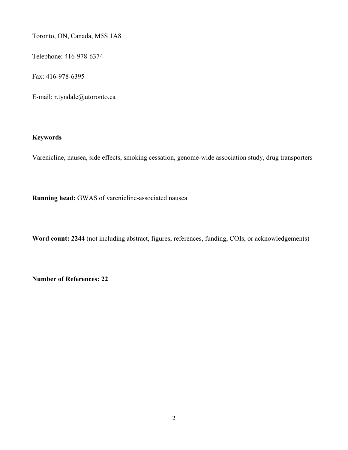Toronto, ON, Canada, M5S 1A8

Telephone: 416-978-6374

Fax: 416-978-6395

E-mail: r.tyndale@utoronto.ca

## **Keywords**

Varenicline, nausea, side effects, smoking cessation, genome-wide association study, drug transporters

**Running head:** GWAS of varenicline-associated nausea

**Word count: 2244** (not including abstract, figures, references, funding, COIs, or acknowledgements)

**Number of References: 22**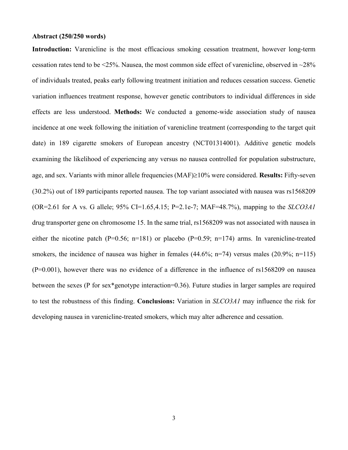#### **Abstract (250/250 words)**

**Introduction:** Varenicline is the most efficacious smoking cessation treatment, however long-term cessation rates tend to be <25%. Nausea, the most common side effect of varenicline, observed in ~28% of individuals treated, peaks early following treatment initiation and reduces cessation success. Genetic variation influences treatment response, however genetic contributors to individual differences in side effects are less understood. **Methods:** We conducted a genome-wide association study of nausea incidence at one week following the initiation of varenicline treatment (corresponding to the target quit date) in 189 cigarette smokers of European ancestry (NCT01314001). Additive genetic models examining the likelihood of experiencing any versus no nausea controlled for population substructure, age, and sex. Variants with minor allele frequencies (MAF)≥10% were considered. **Results:** Fifty-seven (30.2%) out of 189 participants reported nausea. The top variant associated with nausea was rs1568209 (OR=2.61 for A vs. G allele; 95% CI=1.65,4.15; P=2.1e-7; MAF=48.7%), mapping to the *SLCO3A1* drug transporter gene on chromosome 15. In the same trial, rs1568209 was not associated with nausea in either the nicotine patch (P=0.56; n=181) or placebo (P=0.59; n=174) arms. In varenicline-treated smokers, the incidence of nausea was higher in females  $(44.6\%; n=74)$  versus males  $(20.9\%; n=115)$ (P=0.001), however there was no evidence of a difference in the influence of rs1568209 on nausea between the sexes (P for sex\*genotype interaction=0.36). Future studies in larger samples are required to test the robustness of this finding. **Conclusions:** Variation in *SLCO3A1* may influence the risk for developing nausea in varenicline-treated smokers, which may alter adherence and cessation.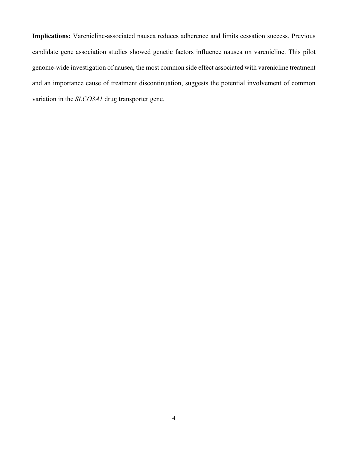**Implications:** Varenicline-associated nausea reduces adherence and limits cessation success. Previous candidate gene association studies showed genetic factors influence nausea on varenicline. This pilot genome-wide investigation of nausea, the most common side effect associated with varenicline treatment and an importance cause of treatment discontinuation, suggests the potential involvement of common variation in the *SLCO3A1* drug transporter gene.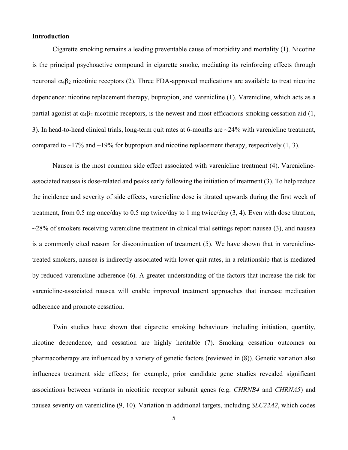#### **Introduction**

Cigarette smoking remains a leading preventable cause of morbidity and mortality [\(1\)](#page-17-0). Nicotine is the principal psychoactive compound in cigarette smoke, mediating its reinforcing effects through neuronal  $α<sub>4</sub>β<sub>2</sub>$  nicotinic receptors [\(2\)](#page-17-1). Three FDA-approved medications are available to treat nicotine dependence: nicotine replacement therapy, bupropion, and varenicline [\(1\)](#page-17-0). Varenicline, which acts as a partial agonist at  $\alpha_4\beta_2$  nicotinic receptors, is the newest and most efficacious smoking cessation aid [\(1,](#page-17-0) [3\)](#page-17-2). In head-to-head clinical trials, long-term quit rates at 6-months are  $\sim$ 24% with varenicline treatment, compared to  $\sim$ 17% and  $\sim$ 19% for bupropion and nicotine replacement therapy, respectively [\(1,](#page-17-0) [3\)](#page-17-2).

Nausea is the most common side effect associated with varenicline treatment [\(4\)](#page-17-3). Vareniclineassociated nausea is dose-related and peaks early following the initiation of treatment [\(3\)](#page-17-2). To help reduce the incidence and severity of side effects, varenicline dose is titrated upwards during the first week of treatment, from 0.5 mg once/day to 0.5 mg twice/day to 1 mg twice/day [\(3,](#page-17-2) [4\)](#page-17-3). Even with dose titration,  $\sim$ 28% of smokers receiving varenicline treatment in clinical trial settings report nausea [\(3\)](#page-17-2), and nausea is a commonly cited reason for discontinuation of treatment [\(5\)](#page-17-4). We have shown that in vareniclinetreated smokers, nausea is indirectly associated with lower quit rates, in a relationship that is mediated by reduced varenicline adherence [\(6\)](#page-17-5). A greater understanding of the factors that increase the risk for varenicline-associated nausea will enable improved treatment approaches that increase medication adherence and promote cessation.

Twin studies have shown that cigarette smoking behaviours including initiation, quantity, nicotine dependence, and cessation are highly heritable [\(7\)](#page-17-6). Smoking cessation outcomes on pharmacotherapy are influenced by a variety of genetic factors (reviewed in [\(8\)](#page-17-7)). Genetic variation also influences treatment side effects; for example, prior candidate gene studies revealed significant associations between variants in nicotinic receptor subunit genes (e.g. *CHRNB4* and *CHRNA5*) and nausea severity on varenicline [\(9,](#page-17-8) [10\)](#page-17-9). Variation in additional targets, including *SLC22A2*, which codes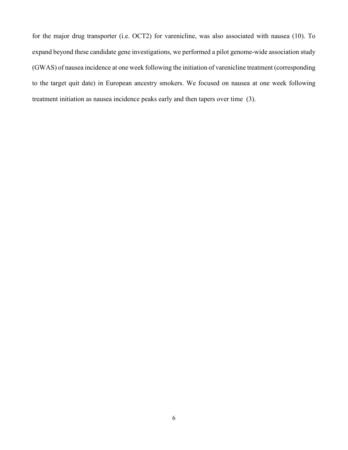for the major drug transporter (i.e. OCT2) for varenicline, was also associated with nausea [\(10\)](#page-17-9). To expand beyond these candidate gene investigations, we performed a pilot genome-wide association study (GWAS) of nausea incidence at one week following the initiation of varenicline treatment (corresponding to the target quit date) in European ancestry smokers. We focused on nausea at one week following treatment initiation as nausea incidence peaks early and then tapers over time [\(3\)](#page-17-2).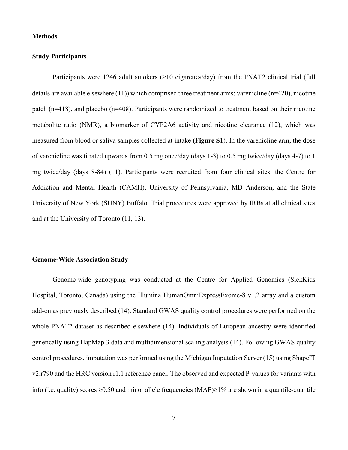#### **Methods**

#### **Study Participants**

Participants were 1246 adult smokers  $(\geq 10 \text{ eigenettes/day})$  from the PNAT2 clinical trial (full details are available elsewhere [\(11\)](#page-17-10)) which comprised three treatment arms: varenicline (n=420), nicotine patch (n=418), and placebo (n=408). Participants were randomized to treatment based on their nicotine metabolite ratio (NMR), a biomarker of CYP2A6 activity and nicotine clearance [\(12\)](#page-17-11), which was measured from blood or saliva samples collected at intake **(Figure S1**). In the varenicline arm, the dose of varenicline was titrated upwards from 0.5 mg once/day (days 1-3) to 0.5 mg twice/day (days 4-7) to 1 mg twice/day (days 8-84) [\(11\)](#page-17-10). Participants were recruited from four clinical sites: the Centre for Addiction and Mental Health (CAMH), University of Pennsylvania, MD Anderson, and the State University of New York (SUNY) Buffalo. Trial procedures were approved by IRBs at all clinical sites and at the University of Toronto [\(11,](#page-17-10) [13\)](#page-17-12).

### **Genome-Wide Association Study**

Genome-wide genotyping was conducted at the Centre for Applied Genomics (SickKids Hospital, Toronto, Canada) using the Illumina HumanOmniExpressExome-8 v1.2 array and a custom add-on as previously described [\(14\)](#page-17-13). Standard GWAS quality control procedures were performed on the whole PNAT2 dataset as described elsewhere [\(14\)](#page-17-13). Individuals of European ancestry were identified genetically using HapMap 3 data and multidimensional scaling analysis [\(14\)](#page-17-13). Following GWAS quality control procedures, imputation was performed using the Michigan Imputation Server [\(15\)](#page-17-14) using ShapeIT v2.r790 and the HRC version r1.1 reference panel. The observed and expected P-values for variants with info (i.e. quality) scores ≥0.50 and minor allele frequencies (MAF)≥1% are shown in a quantile-quantile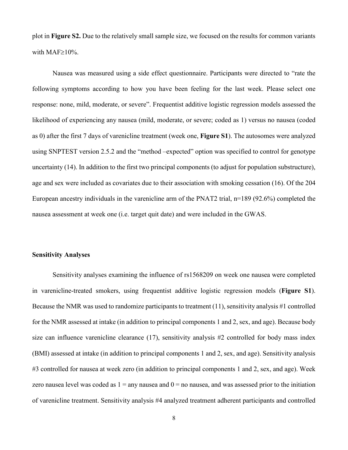plot in **Figure S2.** Due to the relatively small sample size, we focused on the results for common variants with MAF≥10%.

Nausea was measured using a side effect questionnaire. Participants were directed to "rate the following symptoms according to how you have been feeling for the last week. Please select one response: none, mild, moderate, or severe". Frequentist additive logistic regression models assessed the likelihood of experiencing any nausea (mild, moderate, or severe; coded as 1) versus no nausea (coded as 0) after the first 7 days of varenicline treatment (week one, **Figure S1**). The autosomes were analyzed using SNPTEST version 2.5.2 and the "method –expected" option was specified to control for genotype uncertainty [\(14\)](#page-17-13). In addition to the first two principal components (to adjust for population substructure), age and sex were included as covariates due to their association with smoking cessation [\(16\)](#page-17-15). Of the 204 European ancestry individuals in the varenicline arm of the PNAT2 trial, n=189 (92.6%) completed the nausea assessment at week one (i.e. target quit date) and were included in the GWAS.

#### **Sensitivity Analyses**

Sensitivity analyses examining the influence of rs1568209 on week one nausea were completed in varenicline-treated smokers, using frequentist additive logistic regression models (**Figure S1**). Because the NMR was used to randomize participants to treatment [\(11\)](#page-17-10), sensitivity analysis #1 controlled for the NMR assessed at intake (in addition to principal components 1 and 2, sex, and age). Because body size can influence varenicline clearance [\(17\)](#page-17-16), sensitivity analysis #2 controlled for body mass index (BMI) assessed at intake (in addition to principal components 1 and 2, sex, and age). Sensitivity analysis #3 controlled for nausea at week zero (in addition to principal components 1 and 2, sex, and age). Week zero nausea level was coded as  $1 =$  any nausea and  $0 =$  no nausea, and was assessed prior to the initiation of varenicline treatment. Sensitivity analysis #4 analyzed treatment adherent participants and controlled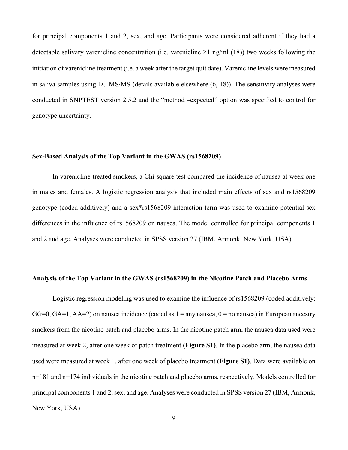for principal components 1 and 2, sex, and age. Participants were considered adherent if they had a detectable salivary varenicline concentration (i.e. varenicline  $\geq 1$  ng/ml [\(18\)](#page-17-17)) two weeks following the initiation of varenicline treatment (i.e. a week after the target quit date). Varenicline levels were measured in saliva samples using LC-MS/MS (details available elsewhere [\(6,](#page-17-5) [18\)](#page-17-17)). The sensitivity analyses were conducted in SNPTEST version 2.5.2 and the "method –expected" option was specified to control for genotype uncertainty.

### **Sex-Based Analysis of the Top Variant in the GWAS (rs1568209)**

In varenicline-treated smokers, a Chi-square test compared the incidence of nausea at week one in males and females. A logistic regression analysis that included main effects of sex and rs1568209 genotype (coded additively) and a sex\*rs1568209 interaction term was used to examine potential sex differences in the influence of rs1568209 on nausea. The model controlled for principal components 1 and 2 and age. Analyses were conducted in SPSS version 27 (IBM, Armonk, New York, USA).

### **Analysis of the Top Variant in the GWAS (rs1568209) in the Nicotine Patch and Placebo Arms**

Logistic regression modeling was used to examine the influence of rs1568209 (coded additively:  $GG=0$ ,  $GA=1$ ,  $AA=2$ ) on nausea incidence (coded as  $1 =$ any nausea,  $0 =$ no nausea) in European ancestry smokers from the nicotine patch and placebo arms. In the nicotine patch arm, the nausea data used were measured at week 2, after one week of patch treatment **(Figure S1)**. In the placebo arm, the nausea data used were measured at week 1, after one week of placebo treatment **(Figure S1)**. Data were available on n=181 and n=174 individuals in the nicotine patch and placebo arms, respectively. Models controlled for principal components 1 and 2, sex, and age. Analyses were conducted in SPSS version 27 (IBM, Armonk, New York, USA).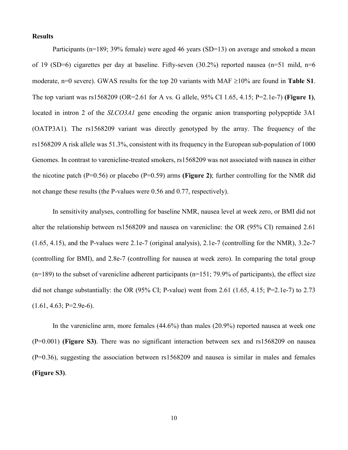#### **Results**

Participants (n=189; 39% female) were aged 46 years (SD=13) on average and smoked a mean of 19 (SD=6) cigarettes per day at baseline. Fifty-seven (30.2%) reported nausea (n=51 mild, n=6 moderate, n=0 severe). GWAS results for the top 20 variants with MAF ≥10% are found in **Table S1**. The top variant was rs1568209 (OR=2.61 for A vs. G allele, 95% CI 1.65, 4.15; P=2.1e-7) **(Figure 1)**, located in intron 2 of the *SLCO3A1* gene encoding the organic anion transporting polypeptide 3A1 (OATP3A1)*.* The rs1568209 variant was directly genotyped by the array. The frequency of the rs1568209 A risk allele was 51.3%, consistent with its frequency in the European sub-population of 1000 Genomes. In contrast to varenicline-treated smokers, rs1568209 was not associated with nausea in either the nicotine patch  $(P=0.56)$  or placebo  $(P=0.59)$  arms **(Figure 2)**; further controlling for the NMR did not change these results (the P-values were 0.56 and 0.77, respectively).

In sensitivity analyses, controlling for baseline NMR, nausea level at week zero, or BMI did not alter the relationship between rs1568209 and nausea on varenicline: the OR (95% CI) remained 2.61 (1.65, 4.15), and the P-values were 2.1e-7 (original analysis), 2.1e-7 (controlling for the NMR), 3.2e-7 (controlling for BMI), and 2.8e-7 (controlling for nausea at week zero). In comparing the total group  $(n=189)$  to the subset of varenicline adherent participants  $(n=151; 79.9\%$  of participants), the effect size did not change substantially: the OR (95% CI; P-value) went from 2.61 (1.65, 4.15; P=2.1e-7) to 2.73  $(1.61, 4.63; P=2.9e-6).$ 

In the varenicline arm, more females (44.6%) than males (20.9%) reported nausea at week one (P=0.001) **(Figure S3)**. There was no significant interaction between sex and rs1568209 on nausea  $(P=0.36)$ , suggesting the association between rs1568209 and nausea is similar in males and females **(Figure S3)**.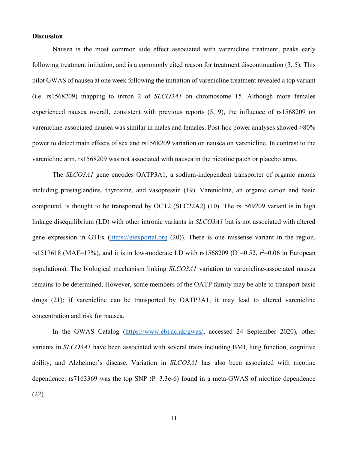### **Discussion**

Nausea is the most common side effect associated with varenicline treatment, peaks early following treatment initiation, and is a commonly cited reason for treatment discontinuation [\(3,](#page-17-2) [5\)](#page-17-4). This pilot GWAS of nausea at one week following the initiation of varenicline treatment revealed a top variant (i.e. rs1568209) mapping to intron 2 of *SLCO3A1* on chromosome 15*.* Although more females experienced nausea overall, consistent with previous reports [\(5,](#page-17-4) [9\)](#page-17-8), the influence of rs1568209 on varenicline-associated nausea was similar in males and females. Post-hoc power analyses showed >80% power to detect main effects of sex and rs1568209 variation on nausea on varenicline. In contrast to the varenicline arm, rs1568209 was not associated with nausea in the nicotine patch or placebo arms.

The *SLCO3A1* gene encodes OATP3A1, a sodium-independent transporter of organic anions including prostaglandins, thyroxine, and vasopressin [\(19\)](#page-18-0). Varenicline, an organic cation and basic compound, is thought to be transported by OCT2 (SLC22A2) [\(10\)](#page-17-9). The rs1569209 variant is in high linkage disequilibrium (LD) with other intronic variants in *SLCO3A1* but is not associated with altered gene expression in GTEx [\(https://gtexportal.org](https://gtexportal.org/) [\(20\)](#page-18-1)). There is one missense variant in the region, rs1517618 (MAF=17%), and it is in low-moderate LD with rs1568209 (D'=0.52,  $r^2$ =0.06 in European populations). The biological mechanism linking *SLCO3A1* variation to varenicline-associated nausea remains to be determined. However, some members of the OATP family may be able to transport basic drugs [\(21\)](#page-18-2); if varenicline can be transported by OATP3A1, it may lead to altered varenicline concentration and risk for nausea.

In the GWAS Catalog [\(https://www.ebi.ac.uk/gwas/;](https://www.ebi.ac.uk/gwas/) accessed 24 September 2020), other variants in *SLCO3A1* have been associated with several traits including BMI, lung function, cognitive ability, and Alzheimer's disease. Variation in *SLCO3A1* has also been associated with nicotine dependence: rs7163369 was the top SNP (P=3.3e-6) found in a meta-GWAS of nicotine dependence [\(22\)](#page-18-3).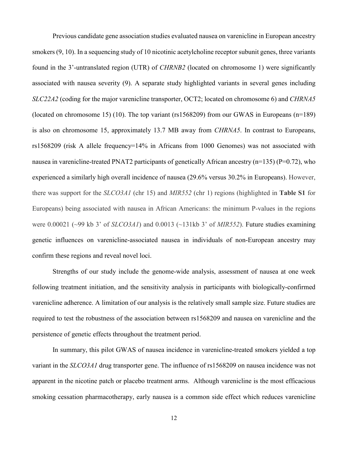Previous candidate gene association studies evaluated nausea on varenicline in European ancestry smokers  $(9, 10)$  $(9, 10)$ . In a sequencing study of 10 nicotinic acetylcholine receptor subunit genes, three variants found in the 3'-untranslated region (UTR) of *CHRNB2* (located on chromosome 1) were significantly associated with nausea severity [\(9\)](#page-17-8). A separate study highlighted variants in several genes including *SLC22A2* (coding for the major varenicline transporter, OCT2; located on chromosome 6) and *CHRNA5*  (located on chromosome 15) [\(10\)](#page-17-9). The top variant (rs1568209) from our GWAS in Europeans (n=189) is also on chromosome 15, approximately 13.7 MB away from *CHRNA5*. In contrast to Europeans, rs1568209 (risk A allele frequency=14% in Africans from 1000 Genomes) was not associated with nausea in varenicline-treated PNAT2 participants of genetically African ancestry (n=135) (P=0.72), who experienced a similarly high overall incidence of nausea (29.6% versus 30.2% in Europeans). However, there was support for the *SLCO3A1* (chr 15) and *MIR552* (chr 1) regions (highlighted in **Table S1** for Europeans) being associated with nausea in African Americans: the minimum P-values in the regions were 0.00021 (~99 kb 3' of *SLCO3A1*) and 0.0013 (~131kb 3' of *MIR552*). Future studies examining genetic influences on varenicline-associated nausea in individuals of non-European ancestry may confirm these regions and reveal novel loci.

Strengths of our study include the genome-wide analysis, assessment of nausea at one week following treatment initiation, and the sensitivity analysis in participants with biologically-confirmed varenicline adherence. A limitation of our analysis is the relatively small sample size. Future studies are required to test the robustness of the association between rs1568209 and nausea on varenicline and the persistence of genetic effects throughout the treatment period.

In summary, this pilot GWAS of nausea incidence in varenicline-treated smokers yielded a top variant in the *SLCO3A1* drug transporter gene. The influence of rs1568209 on nausea incidence was not apparent in the nicotine patch or placebo treatment arms. Although varenicline is the most efficacious smoking cessation pharmacotherapy, early nausea is a common side effect which reduces varenicline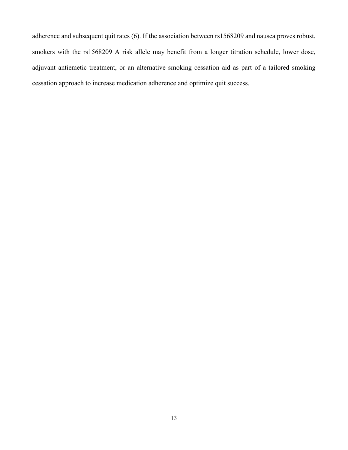adherence and subsequent quit rates [\(6\)](#page-17-5). If the association between rs1568209 and nausea proves robust, smokers with the rs1568209 A risk allele may benefit from a longer titration schedule, lower dose, adjuvant antiemetic treatment, or an alternative smoking cessation aid as part of a tailored smoking cessation approach to increase medication adherence and optimize quit success.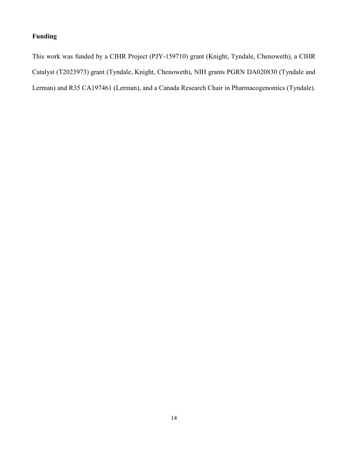# **Funding**

This work was funded by a CIHR Project (PJY-159710) grant (Knight, Tyndale, Chenoweth), a CIHR Catalyst (T2023973) grant (Tyndale, Knight, Chenoweth), NIH grants PGRN DA020830 (Tyndale and Lerman) and R35 CA197461 (Lerman), and a Canada Research Chair in Pharmacogenomics (Tyndale).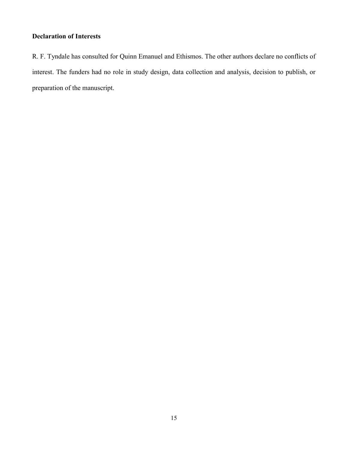# **Declaration of Interests**

R. F. Tyndale has consulted for Quinn Emanuel and Ethismos. The other authors declare no conflicts of interest. The funders had no role in study design, data collection and analysis, decision to publish, or preparation of the manuscript.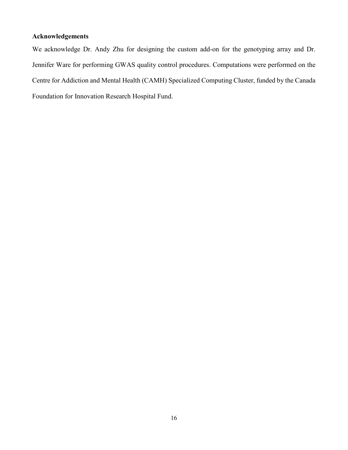# **Acknowledgements**

We acknowledge Dr. Andy Zhu for designing the custom add-on for the genotyping array and Dr. Jennifer Ware for performing GWAS quality control procedures. Computations were performed on the Centre for Addiction and Mental Health (CAMH) Specialized Computing Cluster, funded by the Canada Foundation for Innovation Research Hospital Fund.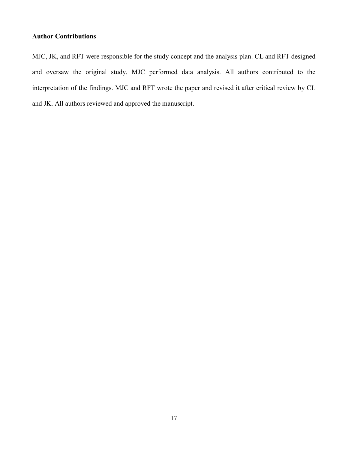# **Author Contributions**

MJC, JK, and RFT were responsible for the study concept and the analysis plan. CL and RFT designed and oversaw the original study. MJC performed data analysis. All authors contributed to the interpretation of the findings. MJC and RFT wrote the paper and revised it after critical review by CL and JK. All authors reviewed and approved the manuscript.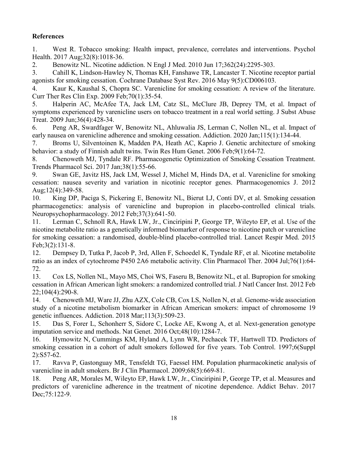# **References**

<span id="page-17-0"></span>1. West R. Tobacco smoking: Health impact, prevalence, correlates and interventions. Psychol Health. 2017 Aug;32(8):1018-36.

<span id="page-17-1"></span>2. Benowitz NL. Nicotine addiction. N Engl J Med. 2010 Jun 17;362(24):2295-303.

<span id="page-17-2"></span>3. Cahill K, Lindson-Hawley N, Thomas KH, Fanshawe TR, Lancaster T. Nicotine receptor partial agonists for smoking cessation. Cochrane Database Syst Rev. 2016 May 9(5):CD006103.

<span id="page-17-3"></span>4. Kaur K, Kaushal S, Chopra SC. Varenicline for smoking cessation: A review of the literature. Curr Ther Res Clin Exp. 2009 Feb;70(1):35-54.

<span id="page-17-4"></span>5. Halperin AC, McAfee TA, Jack LM, Catz SL, McClure JB, Deprey TM, et al. Impact of symptoms experienced by varenicline users on tobacco treatment in a real world setting. J Subst Abuse Treat. 2009 Jun;36(4):428-34.

<span id="page-17-5"></span>6. Peng AR, Swardfager W, Benowitz NL, Ahluwalia JS, Lerman C, Nollen NL, et al. Impact of early nausea on varenicline adherence and smoking cessation. Addiction. 2020 Jan;115(1):134-44.

<span id="page-17-6"></span>7. Broms U, Silventoinen K, Madden PA, Heath AC, Kaprio J. Genetic architecture of smoking behavior: a study of Finnish adult twins. Twin Res Hum Genet. 2006 Feb;9(1):64-72.

<span id="page-17-7"></span>8. Chenoweth MJ, Tyndale RF. Pharmacogenetic Optimization of Smoking Cessation Treatment. Trends Pharmacol Sci. 2017 Jan;38(1):55-66.

<span id="page-17-8"></span>9. Swan GE, Javitz HS, Jack LM, Wessel J, Michel M, Hinds DA, et al. Varenicline for smoking cessation: nausea severity and variation in nicotinic receptor genes. Pharmacogenomics J. 2012 Aug;12(4):349-58.

<span id="page-17-9"></span>10. King DP, Paciga S, Pickering E, Benowitz NL, Bierut LJ, Conti DV, et al. Smoking cessation pharmacogenetics: analysis of varenicline and bupropion in placebo-controlled clinical trials. Neuropsychopharmacology. 2012 Feb;37(3):641-50.

<span id="page-17-10"></span>11. Lerman C, Schnoll RA, Hawk LW, Jr., Cinciripini P, George TP, Wileyto EP, et al. Use of the nicotine metabolite ratio as a genetically informed biomarker of response to nicotine patch or varenicline for smoking cessation: a randomised, double-blind placebo-controlled trial. Lancet Respir Med. 2015 Feb;3(2):131-8.

<span id="page-17-11"></span>12. Dempsey D, Tutka P, Jacob P, 3rd, Allen F, Schoedel K, Tyndale RF, et al. Nicotine metabolite ratio as an index of cytochrome P450 2A6 metabolic activity. Clin Pharmacol Ther. 2004 Jul;76(1):64- 72.

<span id="page-17-12"></span>13. Cox LS, Nollen NL, Mayo MS, Choi WS, Faseru B, Benowitz NL, et al. Bupropion for smoking cessation in African American light smokers: a randomized controlled trial. J Natl Cancer Inst. 2012 Feb 22;104(4):290-8.

<span id="page-17-13"></span>14. Chenoweth MJ, Ware JJ, Zhu AZX, Cole CB, Cox LS, Nollen N, et al. Genome-wide association study of a nicotine metabolism biomarker in African American smokers: impact of chromosome 19 genetic influences. Addiction. 2018 Mar;113(3):509-23.

<span id="page-17-14"></span>15. Das S, Forer L, Schonherr S, Sidore C, Locke AE, Kwong A, et al. Next-generation genotype imputation service and methods. Nat Genet. 2016 Oct;48(10):1284-7.

<span id="page-17-15"></span>16. Hymowitz N, Cummings KM, Hyland A, Lynn WR, Pechacek TF, Hartwell TD. Predictors of smoking cessation in a cohort of adult smokers followed for five years. Tob Control. 1997;6(Suppl 2):S57-62.

<span id="page-17-16"></span>17. Ravva P, Gastonguay MR, Tensfeldt TG, Faessel HM. Population pharmacokinetic analysis of varenicline in adult smokers. Br J Clin Pharmacol. 2009;68(5):669-81.

<span id="page-17-17"></span>18. Peng AR, Morales M, Wileyto EP, Hawk LW, Jr., Cinciripini P, George TP, et al. Measures and predictors of varenicline adherence in the treatment of nicotine dependence. Addict Behav. 2017 Dec;75:122-9.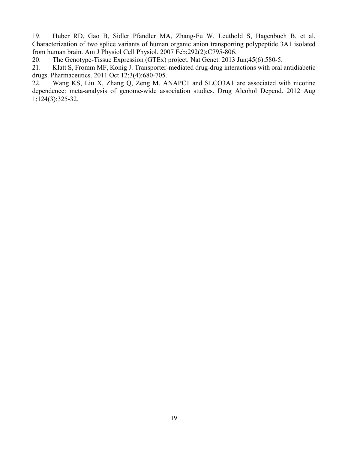<span id="page-18-0"></span>19. Huber RD, Gao B, Sidler Pfandler MA, Zhang-Fu W, Leuthold S, Hagenbuch B, et al. Characterization of two splice variants of human organic anion transporting polypeptide 3A1 isolated from human brain. Am J Physiol Cell Physiol. 2007 Feb;292(2):C795-806.

<span id="page-18-1"></span>20. The Genotype-Tissue Expression (GTEx) project. Nat Genet. 2013 Jun;45(6):580-5.

<span id="page-18-2"></span>21. Klatt S, Fromm MF, Konig J. Transporter-mediated drug-drug interactions with oral antidiabetic drugs. Pharmaceutics. 2011 Oct 12;3(4):680-705.

<span id="page-18-3"></span>22. Wang KS, Liu X, Zhang Q, Zeng M. ANAPC1 and SLCO3A1 are associated with nicotine dependence: meta-analysis of genome-wide association studies. Drug Alcohol Depend. 2012 Aug 1;124(3):325-32.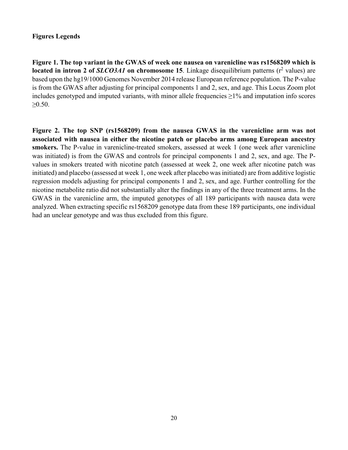## **Figures Legends**

**Figure 1. The top variant in the GWAS of week one nausea on varenicline was rs1568209 which is located in intron 2 of** *SLCO3A1* on chromosome 15. Linkage disequilibrium patterns ( $r^2$  values) are based upon the hg19/1000 Genomes November 2014 release European reference population. The P-value is from the GWAS after adjusting for principal components 1 and 2, sex, and age. This Locus Zoom plot includes genotyped and imputed variants, with minor allele frequencies  $\geq$ 1% and imputation info scores ≥0.50.

**Figure 2. The top SNP (rs1568209) from the nausea GWAS in the varenicline arm was not associated with nausea in either the nicotine patch or placebo arms among European ancestry smokers.** The P-value in varenicline-treated smokers, assessed at week 1 (one week after varenicline was initiated) is from the GWAS and controls for principal components 1 and 2, sex, and age. The Pvalues in smokers treated with nicotine patch (assessed at week 2, one week after nicotine patch was initiated) and placebo (assessed at week 1, one week after placebo was initiated) are from additive logistic regression models adjusting for principal components 1 and 2, sex, and age. Further controlling for the nicotine metabolite ratio did not substantially alter the findings in any of the three treatment arms. In the GWAS in the varenicline arm, the imputed genotypes of all 189 participants with nausea data were analyzed. When extracting specific rs1568209 genotype data from these 189 participants, one individual had an unclear genotype and was thus excluded from this figure.